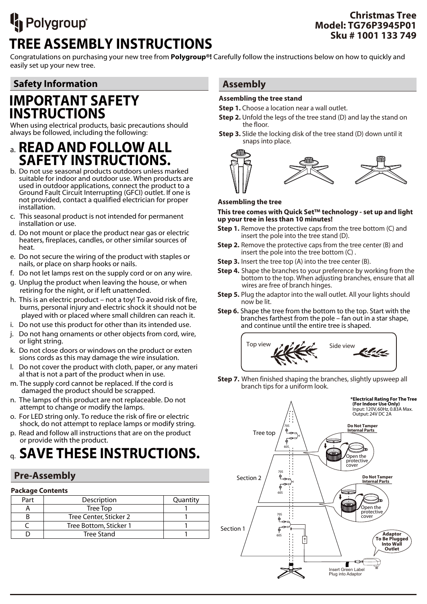# <sup>I</sup>n Polygroup® **TREE ASSEMBLY INSTRUCTIONS**

## **Christmas Tree Model: TG76P3945P01 Sku # 1001 133 749**

Congratulations on purchasing your new tree from **Polygroup®!** Carefully follow the instructions below on how to quickly and easily set up your new tree.

## **Safety Information**

## **IMPORTANT SAFETY INSTRUCTIONS**

When using electrical products, basic precautions should always be followed, including the following:

- a. **READ AND FOLLOW ALL SAFETY INSTRUCTIONS.**<br>b. Do not use seasonal products outdoors unless marked
- suitable for indoor and outdoor use. When products are used in outdoor applications, connect the product to a Ground Fault Circuit Interrupting (GFCI) outlet. If one is not provided, contact a qualified electrician for proper installation.
- c. This seasonal product is not intended for permanent installation or use.
- d. Do not mount or place the product near gas or electric heaters, fireplaces, candles, or other similar sources of heat.
- e. Do not secure the wiring of the product with staples or nails, or place on sharp hooks or nails.
- f. Do not let lamps rest on the supply cord or on any wire.
- g. Unplug the product when leaving the house, or when retiring for the night, or if left unattended.
- h. This is an electric product not a toy! To avoid risk of fire, burns, personal injury and electric shock it should not be played with or placed where small children can reach it.
- i. Do not use this product for other than its intended use.
- j. Do not hang ornaments or other objects from cord, wire, or light string.
- k. Do not close doors or windows on the product or exten sions cords as this may damage the wire insulation.
- l. Do not cover the product with cloth, paper, or any materi al that is not a part of the product when in use.
- m. The supply cord cannot be replaced. If the cord is damaged the product should be scrapped.
- n. The lamps of this product are not replaceable. Do not attempt to change or modify the lamps.
- o. For LED string only. To reduce the risk of fire or electric shock, do not attempt to replace lamps or modify string.
- p. Read and follow all instructions that are on the product or provide with the product.

## q. **SAVE THESE INSTRUCTIONS.**

## **Pre-Assembly**

## **Package Contents**

| Part | Description            | Quantity |
|------|------------------------|----------|
|      | Tree Top               |          |
|      | Tree Center, Sticker 2 |          |
|      | Tree Bottom, Sticker 1 |          |
|      | <b>Tree Stand</b>      |          |
|      |                        |          |

## **Assembly**

## **Assembling the tree stand**

**Step 1.** Choose a location near a wall outlet.

- **Step 2.** Unfold the legs of the tree stand (D) and lay the stand on the floor.
- **Step 3.** Slide the locking disk of the tree stand (D) down until it snaps into place.



#### **Assembling the tree**

#### **This tree comes with Quick Set™ technology - set up and light up your tree in less than 10 minutes!**

- **Step 1.** Remove the protective caps from the tree bottom (C) and insert the pole into the tree stand (D).
- **Step 2.** Remove the protective caps from the tree center (B) and insert the pole into the tree bottom (C) .
- **Step 3.** Insert the tree top (A) into the tree center (B).
- **Step 4.** Shape the branches to your preference by working from the bottom to the top. When adjusting branches, ensure that all wires are free of branch hinges.
- **Step 5.** Plug the adaptor into the wall outlet. All your lights should now be lit.
- **Step 6.** Shape the tree from the bottom to the top. Start with the branches farthest from the pole – fan out in a star shape, and continue until the entire tree is shaped.



**Step 7.** When finished shaping the branches, slightly upsweep all branch tips for a uniform look.